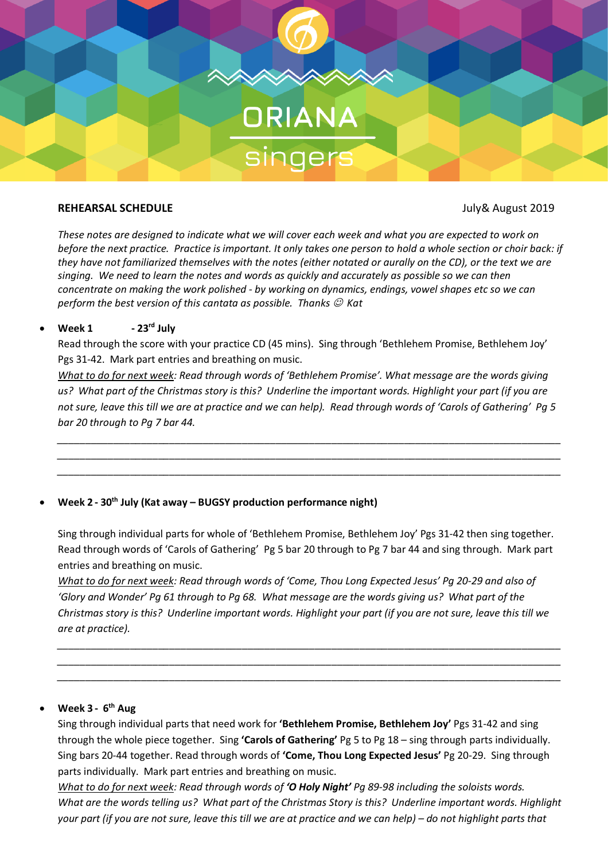

### **REHEARSAL SCHEDULE** July& August 2019

*These notes are designed to indicate what we will cover each week and what you are expected to work on before the next practice. Practice is important. It only takes one person to hold a whole section or choir back: if they have not familiarized themselves with the notes (either notated or aurally on the CD), or the text we are singing. We need to learn the notes and words as quickly and accurately as possible so we can then concentrate on making the work polished - by working on dynamics, endings, vowel shapes etc so we can perform the best version of this cantata as possible. Thanks*  $\mathcal{O}$  *Kat* 

# • **Week 1 - 23rd July**

Read through the score with your practice CD (45 mins). Sing through 'Bethlehem Promise, Bethlehem Joy' Pgs 31-42. Mark part entries and breathing on music.

*What to do for next week: Read through words of 'Bethlehem Promise'. What message are the words giving us? What part of the Christmas story is this? Underline the important words. Highlight your part (if you are not sure, leave this till we are at practice and we can help). Read through words of 'Carols of Gathering' Pg 5 bar 20 through to Pg 7 bar 44.*

*\_\_\_\_\_\_\_\_\_\_\_\_\_\_\_\_\_\_\_\_\_\_\_\_\_\_\_\_\_\_\_\_\_\_\_\_\_\_\_\_\_\_\_\_\_\_\_\_\_\_\_\_\_\_\_\_\_\_\_\_\_\_\_\_\_\_\_\_\_\_\_\_\_\_\_\_\_\_\_\_\_\_\_\_\_\_\_\_\_\_ \_\_\_\_\_\_\_\_\_\_\_\_\_\_\_\_\_\_\_\_\_\_\_\_\_\_\_\_\_\_\_\_\_\_\_\_\_\_\_\_\_\_\_\_\_\_\_\_\_\_\_\_\_\_\_\_\_\_\_\_\_\_\_\_\_\_\_\_\_\_\_\_\_\_\_\_\_\_\_\_\_\_\_\_\_\_\_\_\_\_ \_\_\_\_\_\_\_\_\_\_\_\_\_\_\_\_\_\_\_\_\_\_\_\_\_\_\_\_\_\_\_\_\_\_\_\_\_\_\_\_\_\_\_\_\_\_\_\_\_\_\_\_\_\_\_\_\_\_\_\_\_\_\_\_\_\_\_\_\_\_\_\_\_\_\_\_\_\_\_\_\_\_\_\_\_\_\_\_\_\_*

## • **Week 2 - 30th July (Kat away – BUGSY production performance night)**

Sing through individual parts for whole of 'Bethlehem Promise, Bethlehem Joy' Pgs 31-42 then sing together. Read through words of 'Carols of Gathering' Pg 5 bar 20 through to Pg 7 bar 44 and sing through. Mark part entries and breathing on music.

*What to do for next week: Read through words of 'Come, Thou Long Expected Jesus' Pg 20-29 and also of 'Glory and Wonder' Pg 61 through to Pg 68. What message are the words giving us? What part of the Christmas story is this? Underline important words. Highlight your part (if you are not sure, leave this till we are at practice).* 

*\_\_\_\_\_\_\_\_\_\_\_\_\_\_\_\_\_\_\_\_\_\_\_\_\_\_\_\_\_\_\_\_\_\_\_\_\_\_\_\_\_\_\_\_\_\_\_\_\_\_\_\_\_\_\_\_\_\_\_\_\_\_\_\_\_\_\_\_\_\_\_\_\_\_\_\_\_\_\_\_\_\_\_\_\_\_\_\_\_\_ \_\_\_\_\_\_\_\_\_\_\_\_\_\_\_\_\_\_\_\_\_\_\_\_\_\_\_\_\_\_\_\_\_\_\_\_\_\_\_\_\_\_\_\_\_\_\_\_\_\_\_\_\_\_\_\_\_\_\_\_\_\_\_\_\_\_\_\_\_\_\_\_\_\_\_\_\_\_\_\_\_\_\_\_\_\_\_\_\_\_ \_\_\_\_\_\_\_\_\_\_\_\_\_\_\_\_\_\_\_\_\_\_\_\_\_\_\_\_\_\_\_\_\_\_\_\_\_\_\_\_\_\_\_\_\_\_\_\_\_\_\_\_\_\_\_\_\_\_\_\_\_\_\_\_\_\_\_\_\_\_\_\_\_\_\_\_\_\_\_\_\_\_\_\_\_\_\_\_\_\_*

# • **Week 3 - 6th Aug**

Sing through individual parts that need work for **'Bethlehem Promise, Bethlehem Joy'** Pgs 31-42 and sing through the whole piece together. Sing **'Carols of Gathering'** Pg 5 to Pg 18 – sing through parts individually. Sing bars 20-44 together. Read through words of **'Come, Thou Long Expected Jesus'** Pg 20-29. Sing through parts individually. Mark part entries and breathing on music.

*What to do for next week: Read through words of 'O Holy Night' Pg 89-98 including the soloists words. What are the words telling us? What part of the Christmas Story is this? Underline important words. Highlight your part (if you are not sure, leave this till we are at practice and we can help) – do not highlight parts that*